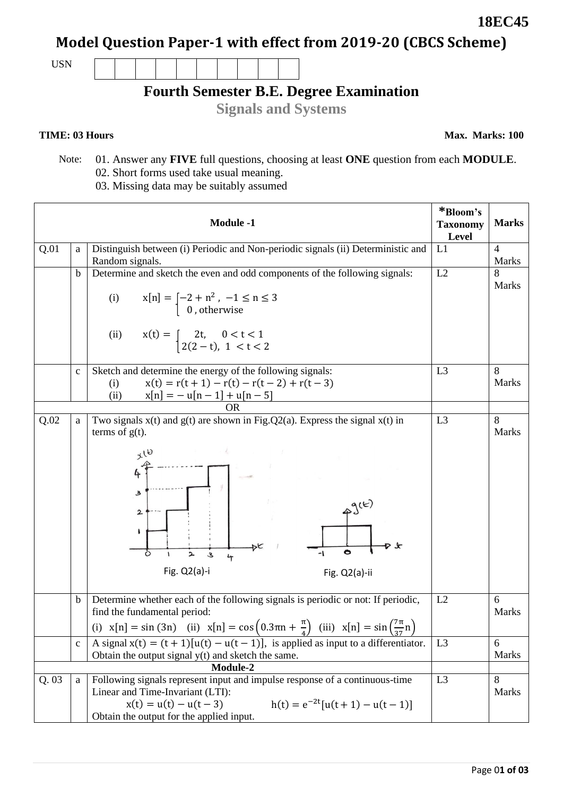Page 0**1 of 03**

# **Model Question Paper-1 with effect from 2019-20 (CBCS Scheme)**

USN

# **Fourth Semester B.E. Degree Examination**

**Signals and Systems**

### **TIME: 03 Hours**

**Max. Marks: 100**

- Note: 01. Answer any **FIVE** full questions, choosing at least **ONE** question from each **MODULE**. 02. Short forms used take usual meaning.
	- 03. Missing data may be suitably assumed

|          |              | <b>Module -1</b>                                                                                                                                                                                                           | *Bloom's<br><b>Taxonomy</b><br>Level | <b>Marks</b>            |
|----------|--------------|----------------------------------------------------------------------------------------------------------------------------------------------------------------------------------------------------------------------------|--------------------------------------|-------------------------|
| Q.01     | a            | Distinguish between (i) Periodic and Non-periodic signals (ii) Deterministic and<br>Random signals.                                                                                                                        | L1                                   | $\overline{4}$<br>Marks |
|          | $\mathbf b$  | Determine and sketch the even and odd components of the following signals:                                                                                                                                                 | L2                                   | 8                       |
|          |              | (i)<br>$x[n] = \begin{cases} -2 + n^2, & -1 \le n \le 3 \\ 0, & \text{otherwise} \end{cases}$                                                                                                                              |                                      | <b>Marks</b>            |
|          |              | (ii)<br>$x(t) = \begin{cases} 2t, & 0 < t < 1 \\ 2(2-t), & 1 < t < 2 \end{cases}$                                                                                                                                          |                                      |                         |
|          | $\mathbf{C}$ | Sketch and determine the energy of the following signals:                                                                                                                                                                  | L <sub>3</sub>                       | 8                       |
|          |              | $x(t) = r(t + 1) - r(t) - r(t - 2) + r(t - 3)$<br>(i)<br>$x[n] = -u[n-1] + u[n-5]$<br>(ii)                                                                                                                                 |                                      | Marks                   |
|          |              | <b>OR</b>                                                                                                                                                                                                                  |                                      |                         |
| Q.02     | a            | Two signals $x(t)$ and $g(t)$ are shown in Fig. Q2(a). Express the signal $x(t)$ in<br>terms of $g(t)$ .                                                                                                                   | L <sub>3</sub>                       | 8<br><b>Marks</b>       |
|          |              | $x^{16}$<br>4<br>З<br>2<br>۱<br>2<br>3<br>4<br>Fig. Q2(a)-i<br>Fig. Q2(a)-ii                                                                                                                                               |                                      |                         |
|          | $\mathbf b$  | Determine whether each of the following signals is periodic or not: If periodic,<br>find the fundamental period:                                                                                                           | L2                                   | 6<br><b>Marks</b>       |
|          |              | (i) $x[n] = \sin(3n)$ (ii) $x[n] = \cos(0.3\pi n + \frac{\pi}{4})$ (iii) $x[n] = \sin(\frac{7\pi}{37}n)$                                                                                                                   |                                      |                         |
|          | $\mathbf c$  | A signal $x(t) = (t + 1)[u(t) - u(t - 1)]$ , is applied as input to a differentiator.<br>Obtain the output signal $y(t)$ and sketch the same.                                                                              | L <sub>3</sub>                       | 6<br>Marks              |
| Module-2 |              |                                                                                                                                                                                                                            |                                      |                         |
| Q.03     | a            | Following signals represent input and impulse response of a continuous-time<br>Linear and Time-Invariant (LTI):<br>$x(t) = u(t) - u(t-3)$<br>$h(t) = e^{-2t}[u(t+1) - u(t-1)]$<br>Obtain the output for the applied input. | L3                                   | 8<br><b>Marks</b>       |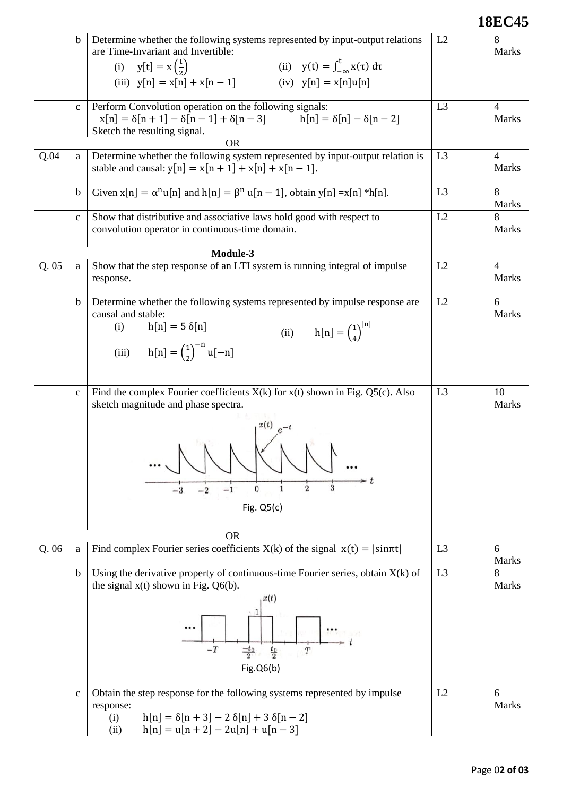### **18EC45**

|      | b            | Determine whether the following systems represented by input-output relations<br>are Time-Invariant and Invertible:<br>(i) $y[t] = x(\frac{t}{2})$<br>(ii) $y(t) = \int_{-\infty}^{t} x(\tau) d\tau$<br>(iii) $y[n] = x[n] + x[n-1]$<br>(iv) $y[n] = x[n]u[n]$ | L2             | 8<br><b>Marks</b>              |
|------|--------------|----------------------------------------------------------------------------------------------------------------------------------------------------------------------------------------------------------------------------------------------------------------|----------------|--------------------------------|
|      | $\mathbf{C}$ | Perform Convolution operation on the following signals:<br>$x[n] = \delta[n+1] - \delta[n-1] + \delta[n-3]$ $h[n] = \delta[n] - \delta[n-2]$<br>Sketch the resulting signal.                                                                                   | L <sub>3</sub> | $\overline{4}$<br>Marks        |
|      |              | <b>OR</b>                                                                                                                                                                                                                                                      |                |                                |
| Q.04 | a            | Determine whether the following system represented by input-output relation is<br>stable and causal: $y[n] = x[n + 1] + x[n] + x[n - 1]$ .                                                                                                                     | L <sub>3</sub> | $\overline{4}$<br><b>Marks</b> |
|      | $\mathbf b$  | Given $x[n] = \alpha^n u[n]$ and $h[n] = \beta^n u[n-1]$ , obtain $y[n] = x[n] * h[n]$ .                                                                                                                                                                       | L <sub>3</sub> | 8<br><b>Marks</b>              |
|      | $\mathbf c$  | Show that distributive and associative laws hold good with respect to<br>convolution operator in continuous-time domain.                                                                                                                                       | L2             | 8<br><b>Marks</b>              |
|      |              | Module-3                                                                                                                                                                                                                                                       |                |                                |
| Q.05 | a            | Show that the step response of an LTI system is running integral of impulse<br>response.                                                                                                                                                                       | L2             | $\overline{4}$<br><b>Marks</b> |
|      | $\mathbf b$  | Determine whether the following systems represented by impulse response are<br>causal and stable:<br>$h[n] = 5 \delta[n]$<br>(i)<br>(ii) $h[n] = (\frac{1}{4})^{ n }$<br>(iii) $h[n] = (\frac{1}{2})^{-n} u[-n]$                                               | L2             | 6<br>Marks                     |
|      | $\mathbf{C}$ | Find the complex Fourier coefficients $X(k)$ for $x(t)$ shown in Fig. Q5(c). Also<br>sketch magnitude and phase spectra.<br>N N<br>3<br>2<br>0<br>Fig. $Q5(c)$                                                                                                 | L <sub>3</sub> | 10<br>Marks                    |
|      |              | <b>OR</b>                                                                                                                                                                                                                                                      |                |                                |
| Q.06 | a            | Find complex Fourier series coefficients $X(k)$ of the signal $x(t) =  \sin \pi t $                                                                                                                                                                            | L <sub>3</sub> | 6<br><b>Marks</b>              |
|      | $\mathbf b$  | Using the derivative property of continuous-time Fourier series, obtain $X(k)$ of<br>the signal $x(t)$ shown in Fig. Q6(b).<br>x(t)<br>$-T$<br>$\frac{-t_0}{2}$<br>$rac{t_0}{2}$<br>$\cal T$<br>Fig. Q6(b)                                                     | L <sub>3</sub> | 8<br>Marks                     |
|      | $\mathbf{C}$ | Obtain the step response for the following systems represented by impulse<br>response:<br>$h[n] = \delta[n+3] - 2 \delta[n] + 3 \delta[n-2]$<br>(i)<br>$h[n] = u[n + 2] - 2u[n] + u[n - 3]$<br>(ii)                                                            | L2             | 6<br>Marks                     |